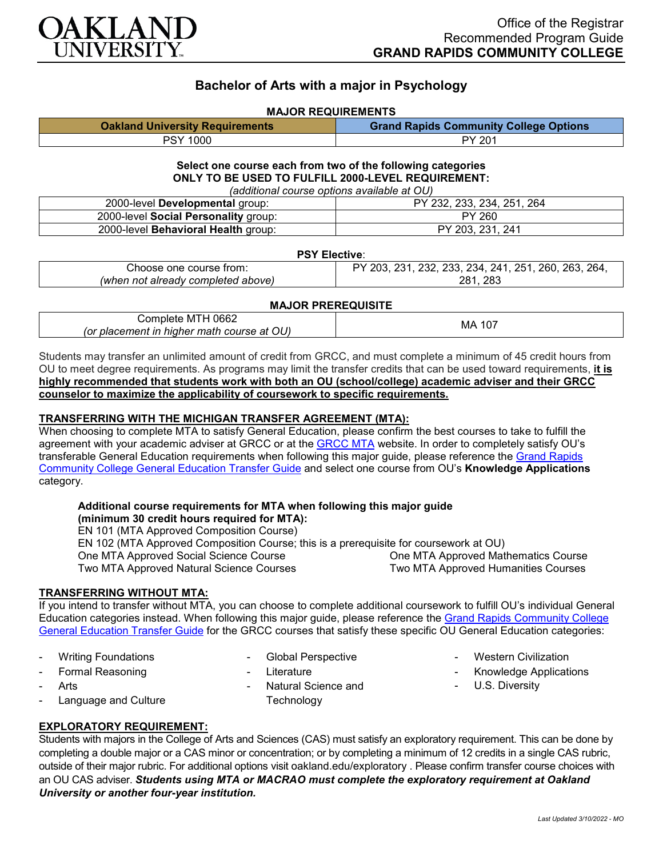

## **Bachelor of Arts with a major in Psychology**

#### **MAJOR REQUIREMENTS**

| <b>Oakland University Requirements</b> | <b>Grand Rapids Community College Options</b> |
|----------------------------------------|-----------------------------------------------|
| <b>PSY 1000</b>                        | PY 201                                        |

## **Select one course each from two of the following categories ONLY TO BE USED TO FULFILL 2000-LEVEL REQUIREMENT:**

*(additional course options available at OU)*

| 2000-level Developmental group:      | PY 232, 233, 234, 251,<br>264 |
|--------------------------------------|-------------------------------|
| 2000-level Social Personality group: | PY 260                        |
| 2000-level Behavioral Health group:  | PY 203, 231, 241              |

#### **PSY Elective**:

| Choose one course from:            | 232, 233, 234, 241, 251, 260, 263, 264,<br>231.<br>203. |
|------------------------------------|---------------------------------------------------------|
| (when not already completed above) | 283<br>281                                              |

## **MAJOR PREREQUISITE**

| 0662<br>'omr<br>. M I H<br>mere<br>.<br>JU) -<br>- -<br>- - - -<br>.<br>course<br>at<br>matn<br>.or<br>nıaı<br>nıaner<br>ement<br>,,, | 107<br>МA |
|---------------------------------------------------------------------------------------------------------------------------------------|-----------|
|---------------------------------------------------------------------------------------------------------------------------------------|-----------|

Students may transfer an unlimited amount of credit from GRCC, and must complete a minimum of 45 credit hours from OU to meet degree requirements. As programs may limit the transfer credits that can be used toward requirements, **it is highly recommended that students work with both an OU (school/college) academic adviser and their GRCC counselor to maximize the applicability of coursework to specific requirements.**

### **TRANSFERRING WITH THE MICHIGAN TRANSFER AGREEMENT (MTA):**

When choosing to complete MTA to satisfy General Education, please confirm the best courses to take to fulfill the agreement with your academic adviser at GRCC or at the [GRCC MTA](https://catalog.grcc.edu/content.php?catoid=45&navoid=3401&hl=Michigan+Transfer+Agreement&returnto=search) website. In order to completely satisfy OU's transferable General Education requirements when following this major guide, please reference the [Grand Rapids](https://www.oakland.edu/Assets/Oakland/program-guides/grand-rapids-community-college/university-general-education-requirements/Grand%20Rapids%20Gen%20Ed.pdf)  [Community College General Education Transfer Guide](https://www.oakland.edu/Assets/Oakland/program-guides/grand-rapids-community-college/university-general-education-requirements/Grand%20Rapids%20Gen%20Ed.pdf) and select one course from OU's **Knowledge Applications** category.

# **Additional course requirements for MTA when following this major guide**

**(minimum 30 credit hours required for MTA):** EN 101 (MTA Approved Composition Course) EN 102 (MTA Approved Composition Course; this is a prerequisite for coursework at OU) One MTA Approved Social Science Course One MTA Approved Mathematics Course

Two MTA Approved Natural Science Courses

#### **TRANSFERRING WITHOUT MTA:**

If you intend to transfer without MTA, you can choose to complete additional coursework to fulfill OU's individual General Education categories instead. When following this major guide, please reference the Grand Rapids Community College [General Education Transfer Guide](https://www.oakland.edu/Assets/Oakland/program-guides/grand-rapids-community-college/university-general-education-requirements/Grand%20Rapids%20Gen%20Ed.pdf) for the GRCC courses that satisfy these specific OU General Education categories:

- Writing Foundations
- Formal Reasoning
- 
- 
- **Arts**
- Language and Culture
- Global Perspective
- **Literature**
- Natural Science and **Technology**
- **Western Civilization**

Two MTA Approved Humanities Courses

- Knowledge Applications
- U.S. Diversity

## **EXPLORATORY REQUIREMENT:**

Students with majors in the College of Arts and Sciences (CAS) must satisfy an exploratory requirement. This can be done by completing a double major or a CAS minor or concentration; or by completing a minimum of 12 credits in a single CAS rubric, outside of their major rubric. For additional options visit [oakland.edu/exploratory](http://www.oakland.edu/exploratory) . Please confirm transfer course choices with an OU CAS adviser. *Students using MTA or MACRAO must complete the exploratory requirement at Oakland University or another four-year institution.*